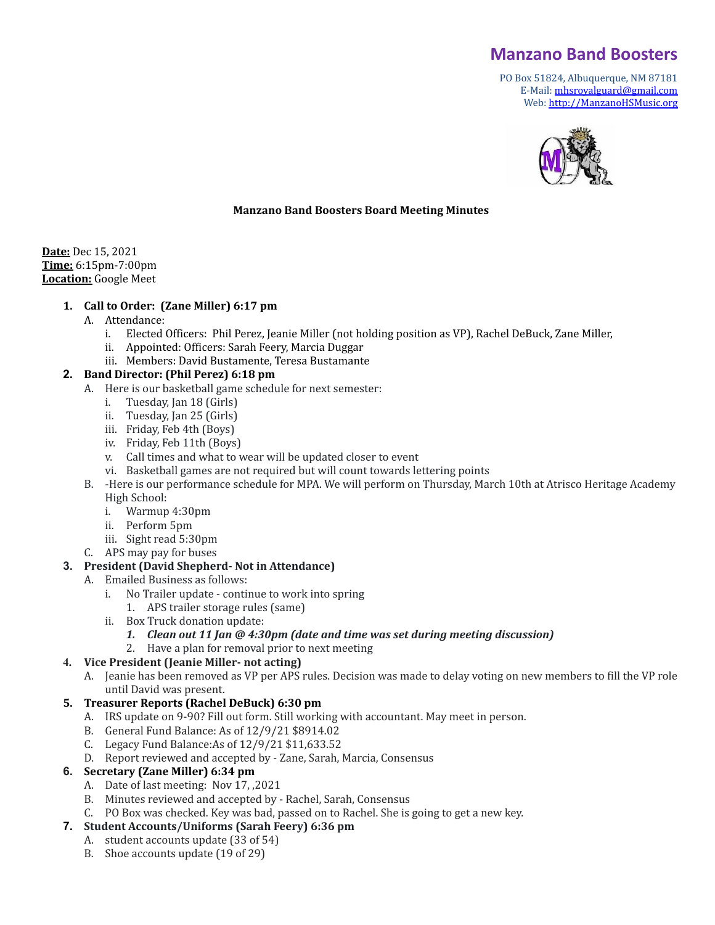# **Manzano Band Boosters**

PO Box 51824, Albuquerque, NM 87181 E-Mail: [mhsroyalguard@gmail.com](mailto:mhsroyalguard@gmail.com) Web: [http://ManzanoHSMusic.org](http://manzanohsmusic.org)



## **Manzano Band Boosters Board Meeting Minutes**

**Date:** Dec 15, 2021 **Time:** 6:15pm-7:00pm **Location:** Google Meet

#### **1. Call to Order: (Zane Miller) 6:17 pm**

- A. Attendance:
	- i. Elected Officers: Phil Perez, Jeanie Miller (not holding position as VP), Rachel DeBuck, Zane Miller,
	- ii. Appointed: Officers: Sarah Feery, Marcia Duggar
	- iii. Members: David Bustamente, Teresa Bustamante

#### **2. Band Director: (Phil Perez) 6:18 pm**

- A. Here is our basketball game schedule for next semester:
	- i. Tuesday, Jan 18 (Girls)
	- ii. Tuesday, Jan 25 (Girls)
	- iii. Friday, Feb 4th (Boys)
	- iv. Friday, Feb 11th (Boys)
	- v. Call times and what to wear will be updated closer to event
	- vi. Basketball games are not required but will count towards lettering points
- B. -Here is our performance schedule for MPA. We will perform on Thursday, March 10th at Atrisco Heritage Academy High School:
	- i. Warmup 4:30pm
	- ii. Perform 5pm
	- iii. Sight read 5:30pm
- C. APS may pay for buses

#### **3. President (David Shepherd- Not in Attendance)**

- A. Emailed Business as follows:
	- i. No Trailer update continue to work into spring
		- 1. APS trailer storage rules (same)
	- ii. Box Truck donation update:

#### *1. Clean out 11 Jan @ 4:30pm (date and time was set during meeting discussion)*

2. Have a plan for removal prior to next meeting

## **4. Vice President (Jeanie Miller- not acting)**

A. Jeanie has been removed as VP per APS rules. Decision was made to delay voting on new members to fill the VP role until David was present.

#### **5. Treasurer Reports (Rachel DeBuck) 6:30 pm**

- A. IRS update on 9-90? Fill out form. Still working with accountant. May meet in person.
- B. General Fund Balance: As of 12/9/21 \$8914.02
- C. Legacy Fund Balance:As of 12/9/21 \$11,633.52
- D. Report reviewed and accepted by Zane, Sarah, Marcia, Consensus

## **6. Secretary (Zane Miller) 6:34 pm**

- A. Date of last meeting: Nov 17, ,2021
- B. Minutes reviewed and accepted by Rachel, Sarah, Consensus
- C. PO Box was checked. Key was bad, passed on to Rachel. She is going to get a new key.

## **7. Student Accounts/Uniforms (Sarah Feery) 6:36 pm**

- A. student accounts update (33 of 54)
	- B. Shoe accounts update (19 of 29)